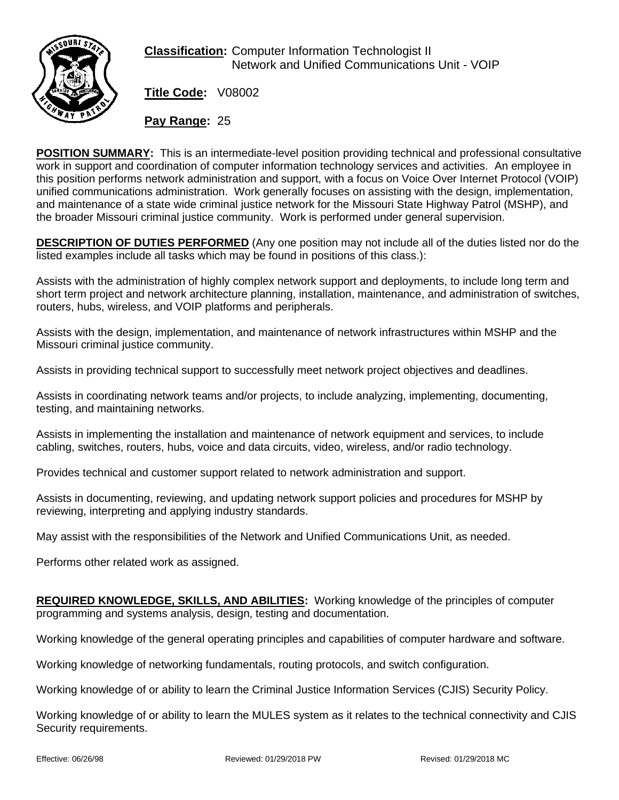

**Classification:** Computer Information Technologist II Network and Unified Communications Unit - VOIP

**Title Code:** V08002

**Pay Range:** 25

**POSITION SUMMARY:** This is an intermediate-level position providing technical and professional consultative work in support and coordination of computer information technology services and activities. An employee in this position performs network administration and support, with a focus on Voice Over Internet Protocol (VOIP) unified communications administration. Work generally focuses on assisting with the design, implementation, and maintenance of a state wide criminal justice network for the Missouri State Highway Patrol (MSHP), and the broader Missouri criminal justice community. Work is performed under general supervision.

**DESCRIPTION OF DUTIES PERFORMED** (Any one position may not include all of the duties listed nor do the listed examples include all tasks which may be found in positions of this class.):

Assists with the administration of highly complex network support and deployments, to include long term and short term project and network architecture planning, installation, maintenance, and administration of switches, routers, hubs, wireless, and VOIP platforms and peripherals.

Assists with the design, implementation, and maintenance of network infrastructures within MSHP and the Missouri criminal justice community.

Assists in providing technical support to successfully meet network project objectives and deadlines.

Assists in coordinating network teams and/or projects, to include analyzing, implementing, documenting, testing, and maintaining networks.

Assists in implementing the installation and maintenance of network equipment and services, to include cabling, switches, routers, hubs, voice and data circuits, video, wireless, and/or radio technology.

Provides technical and customer support related to network administration and support.

Assists in documenting, reviewing, and updating network support policies and procedures for MSHP by reviewing, interpreting and applying industry standards.

May assist with the responsibilities of the Network and Unified Communications Unit, as needed.

Performs other related work as assigned.

**REQUIRED KNOWLEDGE, SKILLS, AND ABILITIES:** Working knowledge of the principles of computer programming and systems analysis, design, testing and documentation.

Working knowledge of the general operating principles and capabilities of computer hardware and software.

Working knowledge of networking fundamentals, routing protocols, and switch configuration.

Working knowledge of or ability to learn the Criminal Justice Information Services (CJIS) Security Policy.

Working knowledge of or ability to learn the MULES system as it relates to the technical connectivity and CJIS Security requirements.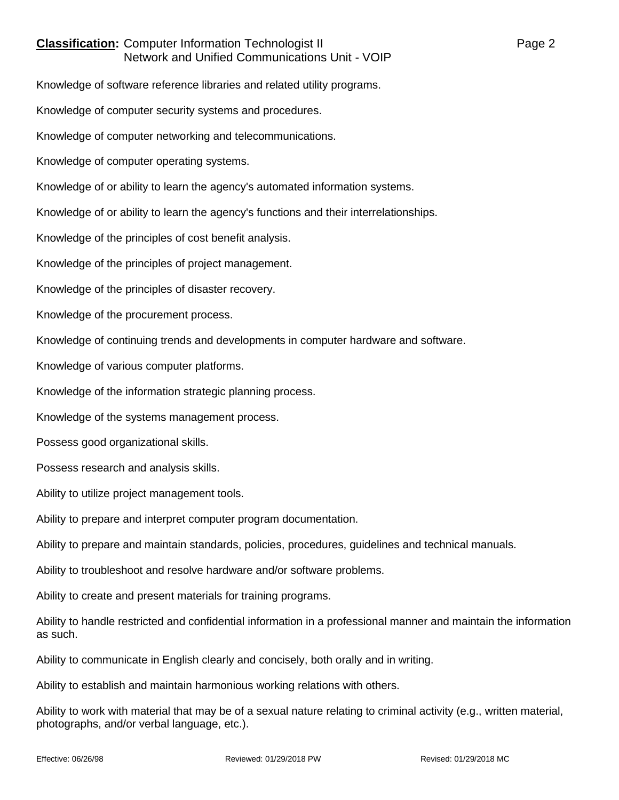## **Classification:** Computer Information Technologist II **Classification:** Page 2 Network and Unified Communications Unit - VOIP

Knowledge of software reference libraries and related utility programs.

Knowledge of computer security systems and procedures.

Knowledge of computer networking and telecommunications.

Knowledge of computer operating systems.

Knowledge of or ability to learn the agency's automated information systems.

Knowledge of or ability to learn the agency's functions and their interrelationships.

Knowledge of the principles of cost benefit analysis.

Knowledge of the principles of project management.

Knowledge of the principles of disaster recovery.

Knowledge of the procurement process.

Knowledge of continuing trends and developments in computer hardware and software.

Knowledge of various computer platforms.

Knowledge of the information strategic planning process.

Knowledge of the systems management process.

Possess good organizational skills.

Possess research and analysis skills.

Ability to utilize project management tools.

Ability to prepare and interpret computer program documentation.

Ability to prepare and maintain standards, policies, procedures, guidelines and technical manuals.

Ability to troubleshoot and resolve hardware and/or software problems.

Ability to create and present materials for training programs.

Ability to handle restricted and confidential information in a professional manner and maintain the information as such.

Ability to communicate in English clearly and concisely, both orally and in writing.

Ability to establish and maintain harmonious working relations with others.

Ability to work with material that may be of a sexual nature relating to criminal activity (e.g., written material, photographs, and/or verbal language, etc.).